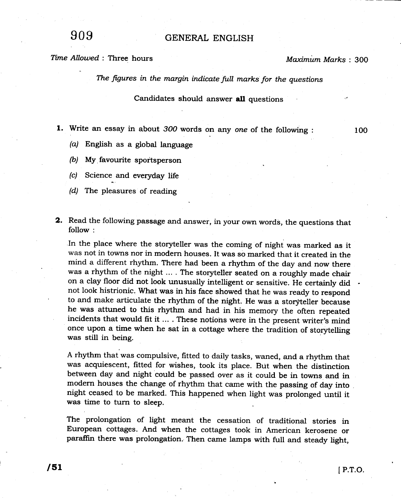## 909

## GENERAL ENGLISH

## Time Allowed : Three hours

## Maximim Marks: 300

The figures in the margin indicate full marks for the questions

Candidates should answer all questions

**1.** Write an essay in about  $300$  words on any one of the following :  $100$ 

(a) English as a global language

(b) My favourite sportsperson

(c) Science and everyday life

- (d) The pleasures of reading
- 2. Read the following passage and answer, in your own words, the questions that follow :

In the place where the storyteller was the coming of night was marked as it was not in towns nor in modern houses. It was so marked that it created in the mind a different rhythm. There had been a rhythm of the day and now there was a rhythm of the night ... . The storyteller seated on a roughly made chair on a clay floor did not look unusually intelligent or sensitive. He certainly did not look histrionic. What was in his face showed that he was ready to respond to and make articulate the rhythm of the night. He was a storyteller because he was attuned to this rhythm and had in his memory the often repeated incidents that would fit it ... . These notions were in the present writer's mind once upon a time when he sat in a cottage where the tradition of storytelling was still in being.

A rhythm that was compulsive, fitted to daily tasks, waned., and a rhythm that was acquiescent, fitted for wishes, took its place. But when the distinction between day and night could be passed over as it could be in towns and in modern houses the change of rhythm that came with the passing of day into night ceased to be marked. This happened when light was prolonged until it was time to turn to sleep.

The prolongation of light meant the cessation of traditional stories in European cottages. And when the cottages took in American kerosene or paraffin there was prolongation. Then came lamps with full and steady light,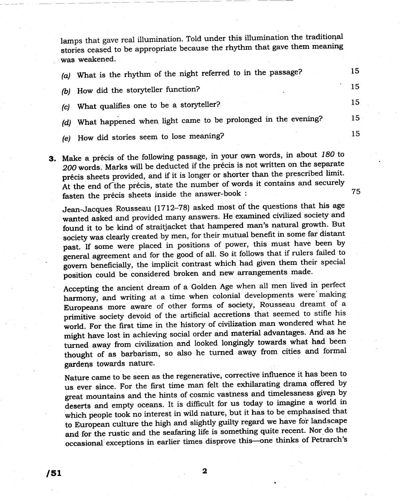lamps that gave real illumination. Told under this illumination the traditioqal stories ceased to be appropriate because the rhythm that gave them meaning was weakened.

| (a) | What is the rhythm of the night referred to in the passage?   | 15. |
|-----|---------------------------------------------------------------|-----|
|     | (b) How did the storyteller function?                         | 15. |
|     | (c) What qualifies one to be a storyteller?                   | 15  |
| (d) | What happened when light came to be prolonged in the evening? | 15  |
|     | $\cdots$                                                      | I 5 |

- (e) How did stories seem to lose meaning?
- 3. Make a précis of the following passage, in your own words, in about 180 to 200 words. Marks will be deducted if the précis is not written on the separate précis sheets provided, and if it is longer or shorter than the prescribed limit. At the end of the precis, state the number of words it contains and securely fasten the précis sheets inside the answer-book :

75

Jean-Jacques Rousseau (1712-78) asked most of the questions that his age wanted asked and provided many answers. He examined civilized society and found it to be kind of straitjacket that hampered man's natural growth. But society was clearly created by men, for their mutual benefit in some far distant past. If some were placed in positions of power, this must have been by general agreement and for the good of all. So it follows that if rulers failed to govern beneficially, the implicit contrast which had given them their special position could be considered broken and new arrangements made.

Accepting the ancient dream of a Golden Age when all men lived in perfect harmony, and writing at a time when colonial developments were making Europeans more aware of other forms of society, Rousseau dreamt of a primitive society devoid of the artificial accretions that seemed to stifle his world. For the first time in the history of civilization man wondered what he might have lost in achieving social order and material advantages. And as he turned away from civilization and looked longingly towards what had been thought of as barbarism, so also he turned away from cities and formal gardens towards nature.

Nature came to be seen as the regenerative, corrective influence it has been to us ever since. For the first time man felt the exhilarating drama offered by great mountains and the hints of cosmic vastness and timelessness given by deserts and empty oceans. It is difficult for us today to imagine a world in which people took no interest in wild nature, but it has to be emphasised that to European culture the high and slightly guilty regard we have for landscape and for the rustic and the seafaring life is something quite recent. Nor do the occasional exceptions in earlier times disprove this-one thinks of Petrarch's

2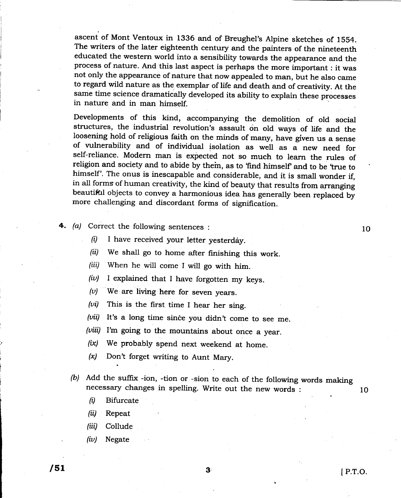ascent of Mont Ventoux in 1336 and of Breughel's Alpine sketches of 1554. The writers of the later eighteenth century and the painters of the nineteenth educated the western world into a sensibility towards the appearance and the process of nature. And this last aspect is perhaps the more important : it was not only the appearance of nature that now appealed to man, but he also came to regard wild nature as the exemplar of life and death and of creativity. At the same time science dramatically developed its ability to explain these processes in nature and in man himself.

Developments of this kind, accompanying the demolition of old social structures, the industrial revolution's assault on old ways of life and the loosening hold of religious faith on the minds of many, have given us a sense of vulnerability and of individual isolation as well as a new need for self-reliance. Modern man is expected not so much to learn the rules of religion and society and to abide by them, as to 'find himself' and to be 'true to himself'. The onus is inescapable and considerable, and it is small wonder if, in all forms of human creativity, the kind of beauty that results from arranging beautiful objects to convey a harmonious idea has generally been replaced by more challenging and discordant forms of signification.

4. (a) Correct the following sentences :

10

- $(i)$  I have received your letter yesterday.
- $(ii)$  We shall go to home after finishing this work.
- $(iii)$  When he will come I will go with him.
- $(iv)$  I explained that I have forgotten my keys.
- $(v)$  We are living here for seven years.
- $(vi)$  This is the first time I hear her sing.
- (vii) It's a long time since you didn't come to see me.
- (viii) I'm going to the mountains about once a year.
- $(ix)$  We probably spend next weekend at home.
- (x) Don't forget writing to Aunt Mary.
- (b) Add the suffix -ion, -tion or -sion to each of the following words making necessary changes in spelling. Write out the new words :

10

- $(i)$  Bifurcate
- (*ii*) Repeat
- (iii) Collude
- (iu) Negate

 $1.3$   $1.51$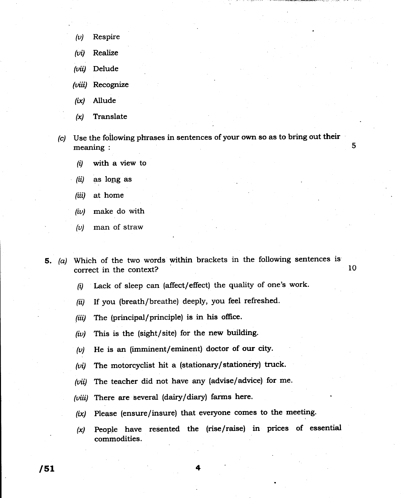- $(v)$  Respire
- $(vi)$  Realize
- (vit) Delude
- (viii) Recognize
- $(ix)$  Allude
- $(x)$  Translate
- $(c)$  Use the following phrases in sentences of your own so as to bring out their meaning :

5

- $(i)$  with a view to
- $(ii)$  as long as
- (iii) at home
- $(iv)$  make do with
- $(v)$  man of straw
- S. (a) Which of the two words within brackets in the following sentences is' correct in the context? 10
	- $(i)$  Lack of sleep can (affect/effect) the quality of one's work.
	- (ii) If you (breath/breathe) deeply, you feel refreshed.
	- (iii) The (principal/principle) is in his office.
	- $(iv)$  This is the (sight/site) for the new building.
	- $(v)$  He is an (imminent/eminent) doctor of our city.
	- $(vi)$  The motorcyclist hit a (stationary/stationery) truck.
	- $(vii)$  The teacher did not have any (advise/advice) for me.
	- (viii) There are several (dairy/diary) farms here.
	- $(ix)$  Please (ensure/insure) that everyone comes to the meeting.
	- $(x)$  People have resented the (rise/raise) in prices of essential commodities.